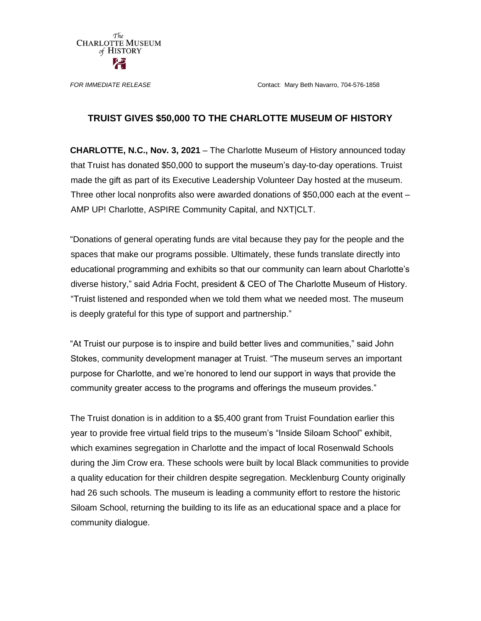The **CHARLOTTE MUSEUM** of HISTORY

*FOR IMMEDIATE RELEASE* Contact: Mary Beth Navarro, 704-576-1858

## **TRUIST GIVES \$50,000 TO THE CHARLOTTE MUSEUM OF HISTORY**

**CHARLOTTE, N.C., Nov. 3, 2021** – The Charlotte Museum of History announced today that Truist has donated \$50,000 to support the museum's day-to-day operations. Truist made the gift as part of its Executive Leadership Volunteer Day hosted at the museum. Three other local nonprofits also were awarded donations of \$50,000 each at the event – AMP UP! Charlotte, ASPIRE Community Capital, and NXT|CLT.

"Donations of general operating funds are vital because they pay for the people and the spaces that make our programs possible. Ultimately, these funds translate directly into educational programming and exhibits so that our community can learn about Charlotte's diverse history," said Adria Focht, president & CEO of The Charlotte Museum of History. "Truist listened and responded when we told them what we needed most. The museum is deeply grateful for this type of support and partnership."

"At Truist our purpose is to inspire and build better lives and communities," said John Stokes, community development manager at Truist. "The museum serves an important purpose for Charlotte, and we're honored to lend our support in ways that provide the community greater access to the programs and offerings the museum provides."

The Truist donation is in addition to a \$5,400 grant from Truist Foundation earlier this year to provide free virtual field trips to the museum's "Inside Siloam School" exhibit, which examines segregation in Charlotte and the impact of local Rosenwald Schools during the Jim Crow era. These schools were built by local Black communities to provide a quality education for their children despite segregation. Mecklenburg County originally had 26 such schools. The museum is leading a community effort to restore the historic Siloam School, returning the building to its life as an educational space and a place for community dialogue.